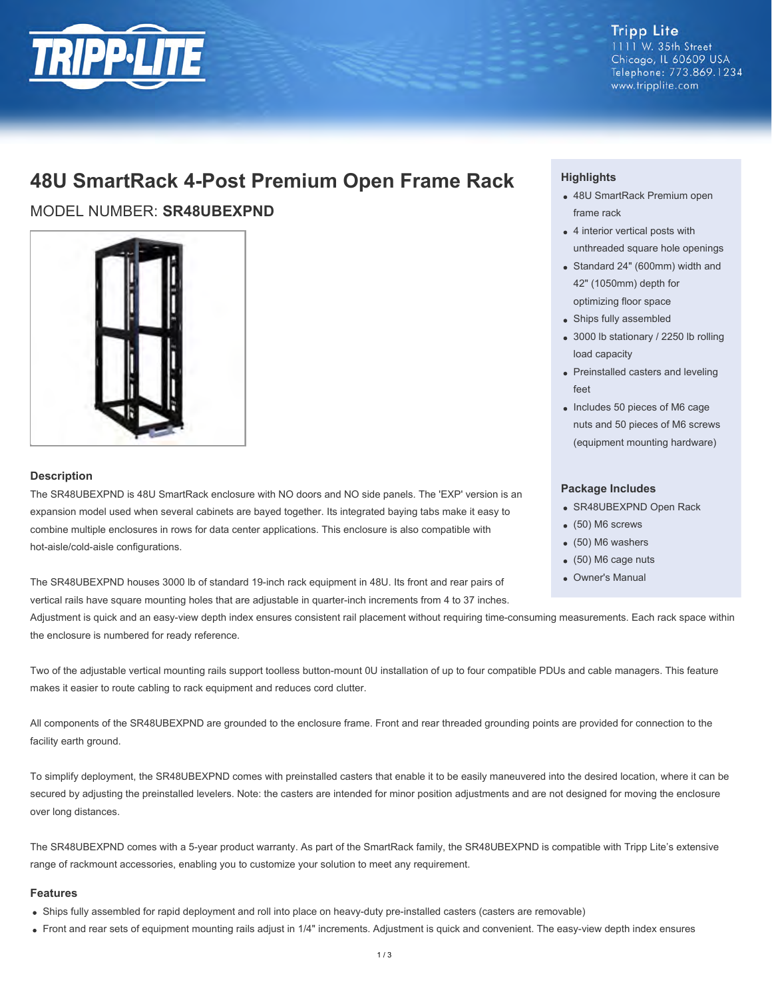

**Tripp Lite** 1111 W. 35th Street Chicago, IL 60609 USA Telephone: 773.869.1234 www.tripplite.com

## **48U SmartRack 4-Post Premium Open Frame Rack**

MODEL NUMBER: **SR48UBEXPND**



## **Description**

The SR48UBEXPND is 48U SmartRack enclosure with NO doors and NO side panels. The 'EXP' version is an expansion model used when several cabinets are bayed together. Its integrated baying tabs make it easy to combine multiple enclosures in rows for data center applications. This enclosure is also compatible with hot-aisle/cold-aisle configurations.

The SR48UBEXPND houses 3000 lb of standard 19-inch rack equipment in 48U. Its front and rear pairs of vertical rails have square mounting holes that are adjustable in quarter-inch increments from 4 to 37 inches.

Adjustment is quick and an easy-view depth index ensures consistent rail placement without requiring time-consuming measurements. Each rack space within the enclosure is numbered for ready reference.

Two of the adjustable vertical mounting rails support toolless button-mount 0U installation of up to four compatible PDUs and cable managers. This feature makes it easier to route cabling to rack equipment and reduces cord clutter.

All components of the SR48UBEXPND are grounded to the enclosure frame. Front and rear threaded grounding points are provided for connection to the facility earth ground.

To simplify deployment, the SR48UBEXPND comes with preinstalled casters that enable it to be easily maneuvered into the desired location, where it can be secured by adjusting the preinstalled levelers. Note: the casters are intended for minor position adjustments and are not designed for moving the enclosure over long distances.

The SR48UBEXPND comes with a 5-year product warranty. As part of the SmartRack family, the SR48UBEXPND is compatible with Tripp Lite's extensive range of rackmount accessories, enabling you to customize your solution to meet any requirement.

### **Features**

- Ships fully assembled for rapid deployment and roll into place on heavy-duty pre-installed casters (casters are removable)
- Front and rear sets of equipment mounting rails adjust in 1/4" increments. Adjustment is quick and convenient. The easy-view depth index ensures

## **Highlights**

- 48U SmartRack Premium open frame rack
- 4 interior vertical posts with unthreaded square hole openings
- Standard 24" (600mm) width and 42" (1050mm) depth for optimizing floor space
- Ships fully assembled
- 3000 lb stationary / 2250 lb rolling load capacity
- Preinstalled casters and leveling feet
- Includes 50 pieces of M6 cage nuts and 50 pieces of M6 screws (equipment mounting hardware)

### **Package Includes**

- SR48UBEXPND Open Rack
- (50) M6 screws
- (50) M6 washers
- (50) M6 cage nuts
- Owner's Manual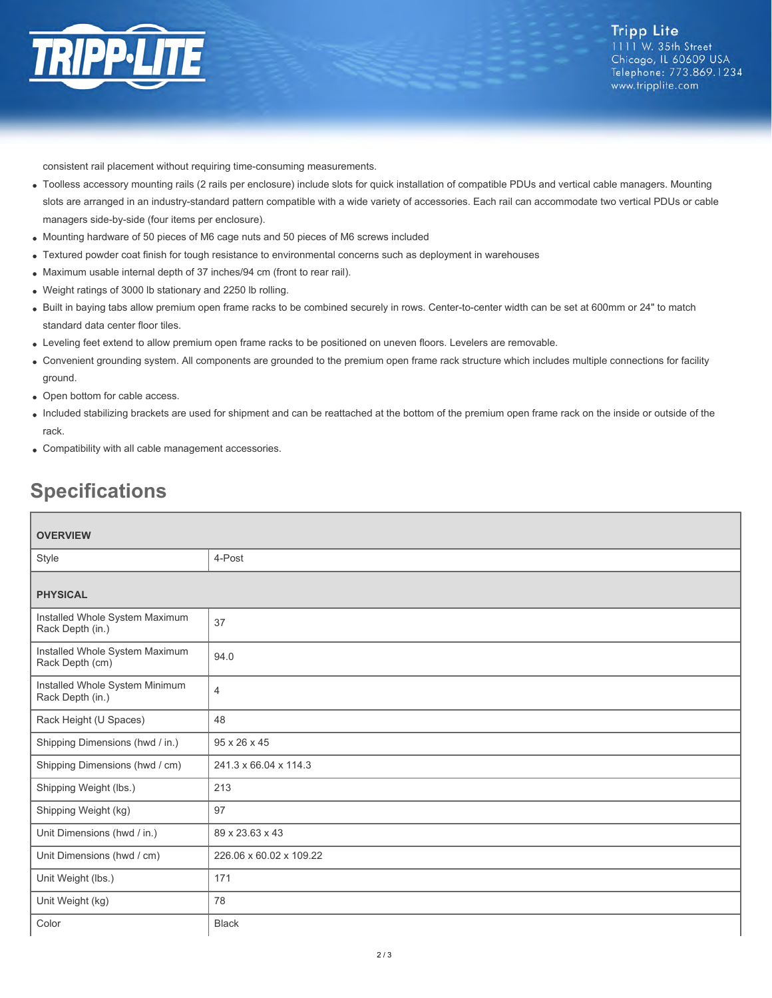

consistent rail placement without requiring time-consuming measurements.

- Toolless accessory mounting rails (2 rails per enclosure) include slots for quick installation of compatible PDUs and vertical cable managers. Mounting slots are arranged in an industry-standard pattern compatible with a wide variety of accessories. Each rail can accommodate two vertical PDUs or cable managers side-by-side (four items per enclosure).
- Mounting hardware of 50 pieces of M6 cage nuts and 50 pieces of M6 screws included
- Textured powder coat finish for tough resistance to environmental concerns such as deployment in warehouses
- Maximum usable internal depth of 37 inches/94 cm (front to rear rail).
- Weight ratings of 3000 lb stationary and 2250 lb rolling.
- Built in baying tabs allow premium open frame racks to be combined securely in rows. Center-to-center width can be set at 600mm or 24" to match standard data center floor tiles.
- Leveling feet extend to allow premium open frame racks to be positioned on uneven floors. Levelers are removable.
- Convenient grounding system. All components are grounded to the premium open frame rack structure which includes multiple connections for facility ground.
- Open bottom for cable access.
- Included stabilizing brackets are used for shipment and can be reattached at the bottom of the premium open frame rack on the inside or outside of the rack.
- Compatibility with all cable management accessories.

# **Specifications**

| <b>OVERVIEW</b>                                    |                         |  |
|----------------------------------------------------|-------------------------|--|
| Style                                              | 4-Post                  |  |
| <b>PHYSICAL</b>                                    |                         |  |
| Installed Whole System Maximum<br>Rack Depth (in.) | 37                      |  |
| Installed Whole System Maximum<br>Rack Depth (cm)  | 94.0                    |  |
| Installed Whole System Minimum<br>Rack Depth (in.) | $\overline{4}$          |  |
| Rack Height (U Spaces)                             | 48                      |  |
| Shipping Dimensions (hwd / in.)                    | 95 x 26 x 45            |  |
| Shipping Dimensions (hwd / cm)                     | 241.3 x 66.04 x 114.3   |  |
| Shipping Weight (lbs.)                             | 213                     |  |
| Shipping Weight (kg)                               | 97                      |  |
| Unit Dimensions (hwd / in.)                        | 89 x 23.63 x 43         |  |
| Unit Dimensions (hwd / cm)                         | 226.06 x 60.02 x 109.22 |  |
| Unit Weight (lbs.)                                 | 171                     |  |
| Unit Weight (kg)                                   | 78                      |  |
| Color                                              | <b>Black</b>            |  |